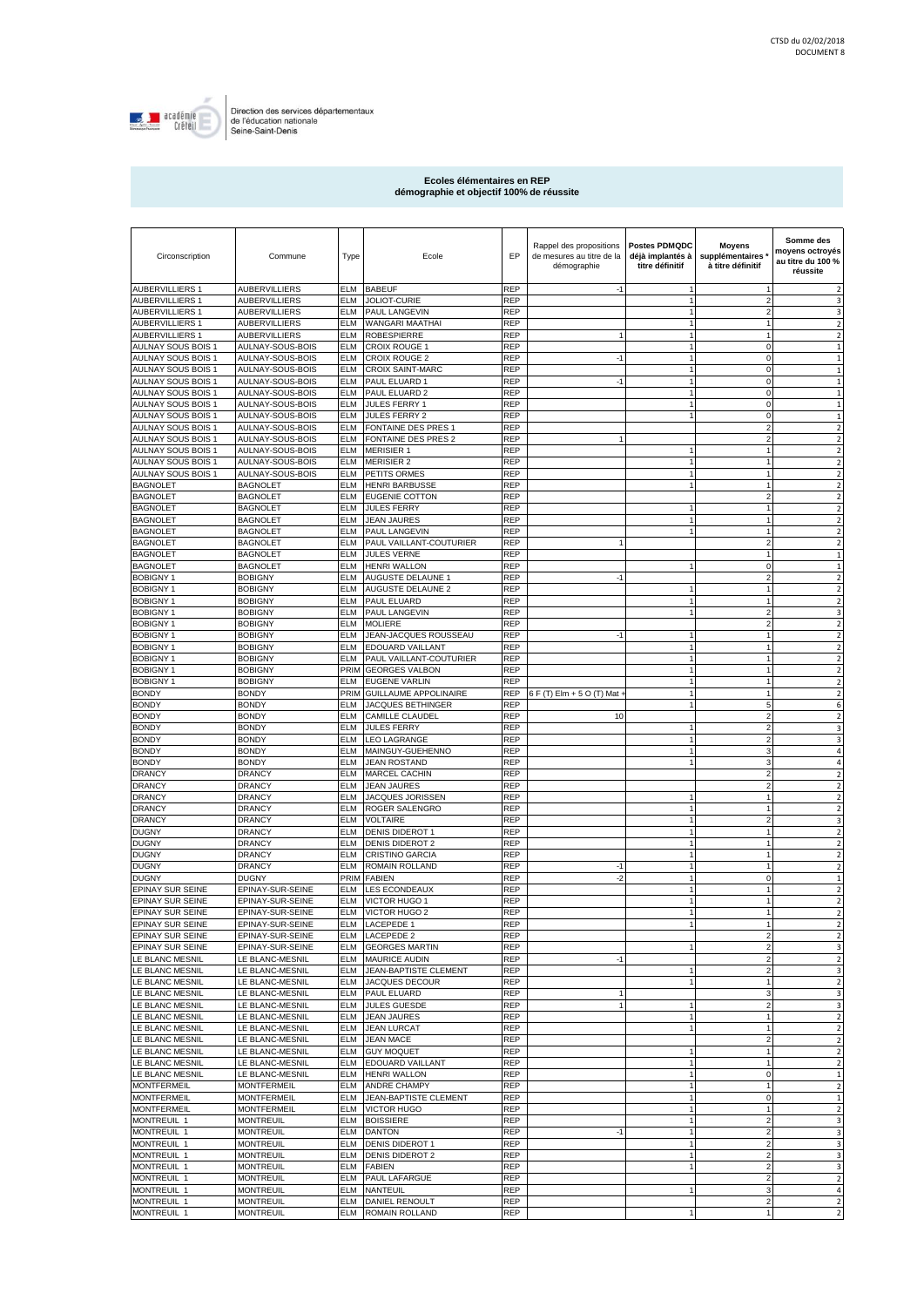

## **Ecoles élémentaires en REP démographie et objectif 100% de réussite**

| Circonscription                           | Commune                                  | Type                     | Ecole                                          | EP                       | Rappel des propositions<br>de mesures au titre de la<br>démographie | <b>Postes PDMQDC</b><br>déjà implantés à<br>titre définitif | <b>Moyens</b><br>supplémentaires<br>à titre définitif | Somme des<br>moyens octroyés<br>au titre du 100 %<br>réussite |
|-------------------------------------------|------------------------------------------|--------------------------|------------------------------------------------|--------------------------|---------------------------------------------------------------------|-------------------------------------------------------------|-------------------------------------------------------|---------------------------------------------------------------|
| <b>AUBERVILLIERS 1</b>                    | AUBERVILLIERS                            | ELM                      | <b>BABEUF</b>                                  | REP                      | $-1$                                                                | 1                                                           | -1                                                    | $\overline{\mathbf{2}}$                                       |
| <b>AUBERVILLIERS 1</b>                    | AUBERVILLIERS                            | ELM                      | <b>JOLIOT-CURIE</b>                            | REP                      |                                                                     | 1                                                           | $\overline{2}$                                        | 3                                                             |
| <b>AUBERVILLIERS 1</b>                    | AUBERVILLIERS                            | ELM                      | PAUL LANGEVIN                                  | REP                      |                                                                     | 1                                                           | $\overline{a}$                                        | 3                                                             |
| <b>AUBERVILLIERS 1</b><br>AUBERVILLIERS 1 | AUBERVILLIERS<br>AUBERVILLIERS           | ELM<br>ELM               | WANGARI MAATHAI<br><b>ROBESPIERRE</b>          | REP<br>REP               |                                                                     | 1<br>1                                                      | $\mathbf{1}$<br>$\mathbf{1}$                          | $\overline{2}$<br>$\overline{2}$                              |
| AULNAY SOUS BOIS 1                        | AULNAY-SOUS-BOIS                         | ELM                      | CROIX ROUGE 1                                  | REP                      |                                                                     |                                                             | $\mathbf 0$                                           | $\mathbf{1}$                                                  |
| AULNAY SOUS BOIS 1                        | AULNAY-SOUS-BOIS                         | ELM                      | <b>CROIX ROUGE 2</b>                           | REP                      | $-1$                                                                |                                                             | $\mathbf 0$                                           | 1                                                             |
| AULNAY SOUS BOIS 1                        | AULNAY-SOUS-BOIS                         | ELM                      | <b>CROIX SAINT-MARC</b>                        | <b>REP</b>               |                                                                     |                                                             | $\mathbf 0$                                           | 1                                                             |
| AULNAY SOUS BOIS 1                        | AULNAY-SOUS-BOIS                         | <b>ELM</b>               | PAUL ELUARD 1                                  | <b>REP</b>               | $-1$                                                                |                                                             | $\mathbf 0$                                           | 1                                                             |
| AULNAY SOUS BOIS 1                        | AULNAY-SOUS-BOIS                         | ELM                      | PAUL ELUARD 2                                  | <b>REP</b>               |                                                                     |                                                             | $\mathbf 0$                                           | 1                                                             |
| AULNAY SOUS BOIS 1                        | AULNAY-SOUS-BOIS                         | ELM                      | <b>JULES FERRY 1</b>                           | <b>REP</b>               |                                                                     |                                                             | $\mathbf 0$                                           | 1                                                             |
| AULNAY SOUS BOIS 1                        | AULNAY-SOUS-BOIS                         | <b>ELM</b>               | <b>JULES FERRY 2</b>                           | <b>REP</b>               |                                                                     |                                                             | $\mathbf 0$                                           | 1                                                             |
| AULNAY SOUS BOIS 1                        | AULNAY-SOUS-BOIS                         | ELM                      | <b>FONTAINE DES PRES 1</b>                     | <b>REP</b>               |                                                                     |                                                             | $\overline{c}$                                        | $\overline{\mathbf{2}}$                                       |
| AULNAY SOUS BOIS 1                        | AULNAY-SOUS-BOIS                         | <b>ELM</b>               | FONTAINE DES PRES 2                            | <b>REP</b>               |                                                                     |                                                             | $\overline{c}$                                        | $\overline{\mathbf{c}}$                                       |
| AULNAY SOUS BOIS 1                        | AULNAY-SOUS-BOIS                         | ELM                      | <b>MERISIER 1</b>                              | REP                      |                                                                     |                                                             |                                                       | $\overline{\mathbf{c}}$                                       |
| AULNAY SOUS BOIS 1                        | AULNAY-SOUS-BOIS                         | ELM                      | <b>MERISIER 2</b>                              | <b>REP</b>               |                                                                     |                                                             | 1                                                     | $\overline{\mathbf{c}}$                                       |
| AULNAY SOUS BOIS 1                        | AULNAY-SOUS-BOIS                         | ELM                      | PETITS ORMES                                   | REP                      |                                                                     | 1                                                           | $\mathbf{1}$                                          | $\overline{2}$                                                |
| <b>BAGNOLET</b><br><b>BAGNOLET</b>        | <b>BAGNOLET</b><br><b>BAGNOLET</b>       | <b>ELM</b><br><b>ELM</b> | <b>HENRI BARBUSSE</b><br><b>EUGENIE COTTON</b> | <b>REP</b><br><b>REP</b> |                                                                     |                                                             | $\overline{2}$                                        | $\overline{2}$<br>$\overline{2}$                              |
| <b>BAGNOLET</b>                           | <b>BAGNOLET</b>                          | <b>ELM</b>               | <b>JULES FERRY</b>                             | <b>REP</b>               |                                                                     | 1                                                           | $\mathbf{1}$                                          | $\overline{2}$                                                |
| <b>BAGNOLET</b>                           | <b>BAGNOLET</b>                          | <b>ELM</b>               | <b>JEAN JAURES</b>                             | <b>REP</b>               |                                                                     | 1                                                           | $\mathbf{1}$                                          | $\overline{2}$                                                |
| <b>BAGNOLET</b>                           | <b>BAGNOLET</b>                          | <b>ELM</b>               | PAUL LANGEVIN                                  | <b>REP</b>               |                                                                     | 1                                                           | $\mathbf{1}$                                          | $\overline{2}$                                                |
| <b>BAGNOLET</b>                           | BAGNOLET                                 | ELM                      | PAUL VAILLANT-COUTURIER                        | <b>REP</b>               |                                                                     |                                                             | $\overline{2}$                                        | $\overline{2}$                                                |
| <b>BAGNOLET</b>                           | <b>BAGNOLET</b>                          | ELM                      | <b>JULES VERNE</b>                             | <b>REP</b>               |                                                                     |                                                             | $\mathbf{1}$                                          | $\mathbf{1}$                                                  |
| <b>BAGNOLET</b>                           | BAGNOLET                                 | ELM                      | <b>HENRI WALLON</b>                            | <b>REP</b>               |                                                                     |                                                             | 0                                                     | 1                                                             |
| <b>BOBIGNY1</b>                           | <b>BOBIGNY</b>                           | ELM                      | AUGUSTE DELAUNE 1                              | REP                      | $-1$                                                                |                                                             | $\overline{2}$                                        | $\overline{2}$                                                |
| <b>BOBIGNY1</b>                           | <b>BOBIGNY</b>                           | ELM                      | AUGUSTE DELAUNE 2                              | REP                      |                                                                     |                                                             | $\overline{1}$                                        | $\overline{\mathbf{c}}$                                       |
| <b>BOBIGNY1</b>                           | <b>BOBIGNY</b>                           | ELM                      | PAUL ELUARD                                    | <b>REP</b>               |                                                                     | 1                                                           | $\overline{1}$                                        | $\overline{2}$                                                |
| <b>BOBIGNY1</b>                           | <b>BOBIGNY</b>                           | ELM                      | PAUL LANGEVIN                                  | <b>REP</b>               |                                                                     | 1                                                           | $\overline{2}$                                        | 3                                                             |
| <b>BOBIGNY1</b>                           | BOBIGNY                                  | ELM                      | <b>MOLIERE</b>                                 | REP                      |                                                                     |                                                             | $\overline{2}$                                        | $\overline{2}$                                                |
| <b>BOBIGNY1</b>                           | BOBIGNY                                  | ELM                      | JEAN-JACQUES ROUSSEAU                          | <b>REP</b>               | $-1$                                                                |                                                             |                                                       | $\overline{2}$                                                |
| <b>BOBIGNY1</b>                           | BOBIGNY                                  | ELM                      | EDOUARD VAILLANT                               | REP                      |                                                                     |                                                             | $\mathbf{1}$                                          | $\overline{2}$                                                |
| <b>BOBIGNY1</b>                           | <b>BOBIGNY</b>                           | <b>ELM</b>               | PAUL VAILLANT-COUTURIER                        | <b>REP</b>               |                                                                     |                                                             |                                                       | $\overline{\mathbf{c}}$                                       |
| <b>BOBIGNY1</b>                           | BOBIGNY                                  | PRIM                     | <b>GEORGES VALBON</b>                          | REP                      |                                                                     | 1                                                           | $\mathbf{1}$                                          | $\overline{2}$                                                |
| <b>BOBIGNY1</b>                           | BOBIGNY                                  | <b>ELM</b>               | <b>EUGENE VARLIN</b>                           | <b>REP</b>               |                                                                     |                                                             |                                                       | $\overline{\mathbf{c}}$                                       |
| <b>BONDY</b>                              | <b>BONDY</b>                             | PRIM                     | <b>GUILLAUME APPOLINAIRE</b>                   | <b>REP</b>               | 6 F (T) Elm + 5 O (T) Mat -                                         |                                                             |                                                       | $\overline{2}$                                                |
| <b>BONDY</b>                              | <b>BONDY</b>                             | ELM<br>ELM               | <b>JACQUES BETHINGER</b>                       | <b>REP</b><br><b>REP</b> |                                                                     |                                                             | 5<br>$\overline{2}$                                   | 6                                                             |
| BONDY<br><b>BONDY</b>                     | BONDY<br><b>BONDY</b>                    | ELM                      | CAMILLE CLAUDEL<br><b>JULES FERRY</b>          | REP                      | 10                                                                  |                                                             | $\overline{c}$                                        | $\overline{2}$<br>3                                           |
| <b>BONDY</b>                              | BONDY                                    | ELM                      | <b>LEO LAGRANGE</b>                            | <b>REP</b>               |                                                                     |                                                             | $\overline{a}$                                        | 3                                                             |
| <b>BONDY</b>                              | <b>BONDY</b>                             | ELM                      | MAINGUY-GUEHENNO                               | <b>REP</b>               |                                                                     |                                                             | 3                                                     | 4                                                             |
| BONDY                                     | BONDY                                    | ELM                      | <b>JEAN ROSTAND</b>                            | <b>REP</b>               |                                                                     |                                                             | 3                                                     | 4                                                             |
| <b>DRANCY</b>                             | DRANCY                                   | ELM                      | MARCEL CACHIN                                  | <b>REP</b>               |                                                                     |                                                             | $\overline{2}$                                        | $\overline{\mathbf{c}}$                                       |
| DRANCY                                    | DRANCY                                   | ELM                      | <b>JEAN JAURES</b>                             | <b>REP</b>               |                                                                     |                                                             | $\overline{a}$                                        | $\overline{2}$                                                |
| <b>DRANCY</b>                             | DRANCY                                   | ELM                      | JACQUES JORISSEN                               | <b>REP</b>               |                                                                     | 1                                                           | $\mathbf{1}$                                          | $\overline{2}$                                                |
| DRANCY                                    | DRANCY                                   | ELM                      | ROGER SALENGRO                                 | <b>REP</b>               |                                                                     | 1                                                           | $\mathbf{1}$                                          | $\overline{2}$                                                |
| DRANCY                                    | DRANCY                                   | <b>ELM</b>               | <b>VOLTAIRE</b>                                | <b>REP</b>               |                                                                     | 1                                                           | $\overline{\mathbf{c}}$                               | 3                                                             |
| <b>DUGNY</b>                              | DRANCY                                   | ELM                      | <b>DENIS DIDEROT 1</b>                         | <b>REP</b>               |                                                                     | 1                                                           | $\overline{1}$                                        | $\overline{2}$                                                |
| <b>DUGNY</b>                              | DRANCY                                   | ELM                      | <b>DENIS DIDEROT 2</b>                         | <b>REP</b>               |                                                                     | 1                                                           | $\mathbf{1}$                                          | $\overline{2}$                                                |
| <b>DUGNY</b>                              | DRANCY                                   | ELM                      | <b>CRISTINO GARCIA</b>                         | REP                      |                                                                     |                                                             | $\mathbf{1}$                                          | $\overline{\mathbf{c}}$                                       |
| <b>DUGNY</b>                              | DRANCY                                   | ELM                      | ROMAIN ROLLAND                                 | REP                      | $-1$                                                                | 1                                                           | $\mathbf{1}$                                          | $\overline{2}$                                                |
| <b>DUGNY</b>                              | DUGNY                                    | PRIM                     | <b>FABIEN</b>                                  | REP                      | $-2$                                                                |                                                             | 0                                                     | 1                                                             |
| EPINAY SUR SEINE                          | EPINAY-SUR-SEINE<br>EPINAY-SUR-SEINE     | ELM                      | <b>LES ECONDEAUX</b>                           | REP                      |                                                                     | 1                                                           | $\overline{1}$<br>$\overline{1}$                      | $\overline{2}$                                                |
| EPINAY SUR SEINE<br>EPINAY SUR SEINE      | EPINAY-SUR-SEINE                         | ELM<br>ELM               | VICTOR HUGO 1<br>VICTOR HUGO 2                 | REP<br>REP               |                                                                     | 1                                                           | $\mathbf{1}$                                          | $\overline{\mathbf{c}}$<br>$\overline{2}$                     |
| EPINAY SUR SEINE                          | EPINAY-SUR-SEINE                         | ELM                      | LACEPEDE 1                                     | REP                      |                                                                     |                                                             |                                                       |                                                               |
| EPINAY SUR SEINE                          | EPINAY-SUR-SEINE                         |                          | ELM LACEPEDE 2                                 | <b>REP</b>               |                                                                     |                                                             | $\overline{2}$                                        | $\overline{\mathbf{2}}$                                       |
| <b>EPINAY SUR SEINE</b>                   | EPINAY-SUR-SEINE                         |                          | <b>ELM GEORGES MARTIN</b>                      | <b>REP</b>               |                                                                     |                                                             | $\overline{\mathbf{c}}$                               | 3                                                             |
| LE BLANC MESNIL                           | LE BLANC-MESNIL                          | ELM                      | <b>MAURICE AUDIN</b>                           | <b>REP</b>               | $-1$                                                                |                                                             | $\overline{2}$                                        | $\overline{\mathbf{c}}$                                       |
| LE BLANC MESNIL                           | LE BLANC-MESNIL                          | ELM                      | JEAN-BAPTISTE CLEMENT                          | <b>REP</b>               |                                                                     |                                                             | $\overline{c}$                                        | 3                                                             |
| LE BLANC MESNIL                           | LE BLANC-MESNIL                          | ELM                      | JACQUES DECOUR                                 | <b>REP</b>               |                                                                     |                                                             | $\mathbf{1}$                                          | $\overline{2}$                                                |
| LE BLANC MESNIL                           | LE BLANC-MESNIL                          | ELM                      | PAUL ELUARD                                    | <b>REP</b>               |                                                                     |                                                             | 3                                                     | 3                                                             |
| LE BLANC MESNIL                           | LE BLANC-MESNIL                          | ELM                      | <b>JULES GUESDE</b>                            | <b>REP</b>               |                                                                     |                                                             | $\mathbf 2$                                           | 3                                                             |
| LE BLANC MESNIL                           | LE BLANC-MESNIL                          | ELM                      | <b>JEAN JAURES</b>                             | <b>REP</b>               |                                                                     |                                                             | $\overline{1}$                                        | $\overline{\mathbf{2}}$                                       |
| LE BLANC MESNIL                           | LE BLANC-MESNIL                          | ELM                      | <b>JEAN LURCAT</b>                             | <b>REP</b>               |                                                                     |                                                             |                                                       | $\overline{\mathbf{c}}$                                       |
| LE BLANC MESNIL                           | LE BLANC-MESNIL                          | ELM                      | <b>JEAN MACE</b>                               | <b>REP</b>               |                                                                     |                                                             | $\overline{\mathbf{c}}$                               | $\overline{\mathbf{c}}$                                       |
| LE BLANC MESNIL                           | LE BLANC-MESNIL                          | ELM                      | <b>GUY MOQUET</b>                              | <b>REP</b>               |                                                                     |                                                             | $\mathbf{1}$                                          | $\overline{\mathbf{2}}$                                       |
| LE BLANC MESNIL                           | LE BLANC-MESNIL                          | ELM                      | EDOUARD VAILLANT                               | <b>REP</b>               |                                                                     |                                                             |                                                       | $\overline{\mathbf{2}}$                                       |
| LE BLANC MESNIL                           | LE BLANC-MESNIL                          | <b>ELM</b>               | <b>HENRI WALLON</b>                            | <b>REP</b>               |                                                                     |                                                             | 0                                                     | 1                                                             |
| <b>MONTFERMEIL</b>                        | <b>MONTFERMEIL</b><br><b>MONTFERMEIL</b> | ELM                      | <b>ANDRE CHAMPY</b>                            | <b>REP</b>               |                                                                     |                                                             | $\mathbf{1}$                                          | $\overline{\mathbf{2}}$                                       |
| <b>MONTFERMEIL</b><br><b>MONTFERMEIL</b>  | <b>MONTFERMEIL</b>                       | ELM<br>ELM               | JEAN-BAPTISTE CLEMENT<br><b>VICTOR HUGO</b>    | <b>REP</b><br><b>REP</b> |                                                                     | 1                                                           | $\pmb{0}$<br>$\mathbf{1}$                             | 1                                                             |
| MONTREUIL 1                               | <b>MONTREUIL</b>                         | <b>ELM</b>               | <b>BOISSIERE</b>                               | <b>REP</b>               |                                                                     | 1                                                           | $\mathbf 2$                                           | $\overline{2}$<br>3                                           |
| MONTREUIL 1                               | <b>MONTREUIL</b>                         | <b>ELM</b>               | <b>DANTON</b>                                  | <b>REP</b>               | $-1$                                                                | 1                                                           | $\overline{\mathbf{c}}$                               | 3                                                             |
| MONTREUIL 1                               | <b>MONTREUIL</b>                         | ELM                      | <b>DENIS DIDEROT 1</b>                         | <b>REP</b>               |                                                                     | 1                                                           | $\mathbf 2$                                           | 3                                                             |
| MONTREUIL 1                               | MONTREUIL                                | ELM                      | <b>DENIS DIDEROT 2</b>                         | <b>REP</b>               |                                                                     | 1                                                           | $\overline{\mathbf{c}}$                               | 3                                                             |
| MONTREUIL 1                               | MONTREUIL                                | ELM                      | <b>FABIEN</b>                                  | REP                      |                                                                     |                                                             | $\overline{c}$                                        | 3                                                             |
| MONTREUIL 1                               | MONTREUIL                                | ELM                      | PAUL LAFARGUE                                  | <b>REP</b>               |                                                                     |                                                             | $\overline{2}$                                        | $\overline{2}$                                                |
| MONTREUIL 1                               | <b>MONTREUIL</b>                         | ELM                      | <b>NANTEUIL</b>                                | <b>REP</b>               |                                                                     |                                                             | 3                                                     | 4                                                             |
| MONTREUIL 1                               | MONTREUIL                                | ELM                      | <b>DANIEL RENOULT</b>                          | <b>REP</b>               |                                                                     |                                                             | $\overline{\mathbf{c}}$                               | $\overline{\mathbf{2}}$                                       |
| MONTREUIL 1                               | <b>MONTREUIL</b>                         | ELM                      | ROMAIN ROLLAND                                 | REP                      |                                                                     |                                                             |                                                       | $\overline{\mathbf{c}}$                                       |